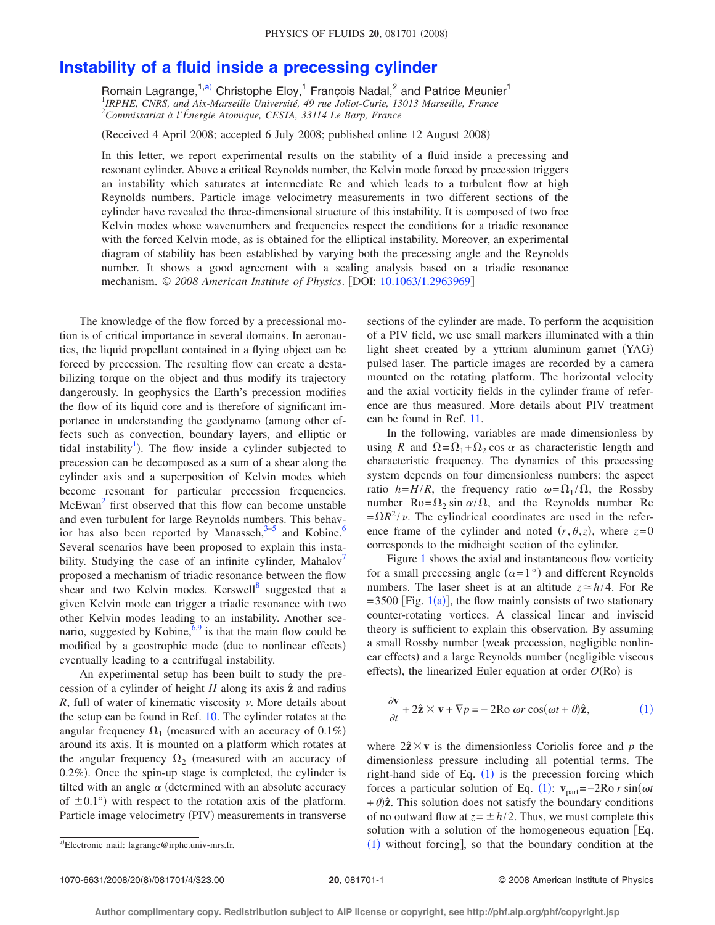## **[Instability of a fluid inside a precessing cylinder](http://dx.doi.org/10.1063/1.2963969)**

Romain Lagrange,<sup>1[,a](#page-0-1))</sup> Christophe Eloy,<sup>1</sup> François Nadal,<sup>2</sup> and Patrice Meunier<sup>1</sup> 1 *IRPHE, CNRS, and Aix-Marseille Université, 49 rue Joliot-Curie, 13013 Marseille, France* 2 *Commissariat à l'Énergie Atomique, CESTA, 33114 Le Barp, France*

(Received 4 April 2008; accepted 6 July 2008; published online 12 August 2008)

In this letter, we report experimental results on the stability of a fluid inside a precessing and resonant cylinder. Above a critical Reynolds number, the Kelvin mode forced by precession triggers an instability which saturates at intermediate Re and which leads to a turbulent flow at high Reynolds numbers. Particle image velocimetry measurements in two different sections of the cylinder have revealed the three-dimensional structure of this instability. It is composed of two free Kelvin modes whose wavenumbers and frequencies respect the conditions for a triadic resonance with the forced Kelvin mode, as is obtained for the elliptical instability. Moreover, an experimental diagram of stability has been established by varying both the precessing angle and the Reynolds number. It shows a good agreement with a scaling analysis based on a triadic resonance mechanism. © 2008 American Institute of Physics. [DOI: [10.1063/1.2963969](http://dx.doi.org/10.1063/1.2963969)]

The knowledge of the flow forced by a precessional motion is of critical importance in several domains. In aeronautics, the liquid propellant contained in a flying object can be forced by precession. The resulting flow can create a destabilizing torque on the object and thus modify its trajectory dangerously. In geophysics the Earth's precession modifies the flow of its liquid core and is therefore of significant importance in understanding the geodynamo (among other effects such as convection, boundary layers, and elliptic or tidal instability<sup>1</sup>). The flow inside a cylinder subjected to precession can be decomposed as a sum of a shear along the cylinder axis and a superposition of Kelvin modes which become resonant for particular precession frequencies.  $McEwan<sup>2</sup>$  first observed that this flow can become unstable and even turbulent for large Reynolds numbers. This behavior has also been reported by Manasseh, $3-5$  $3-5$  and Kobine.<sup>6</sup> Several scenarios have been proposed to explain this instability. Studying the case of an infinite cylinder, Mahalov<sup>1</sup> proposed a mechanism of triadic resonance between the flow shear and two Kelvin modes. Kerswell<sup>8</sup> suggested that a given Kelvin mode can trigger a triadic resonance with two other Kelvin modes leading to an instability. Another scenario, suggested by Kobine,  $6.9$  $6.9$  is that the main flow could be modified by a geostrophic mode (due to nonlinear effects) eventually leading to a centrifugal instability.

An experimental setup has been built to study the precession of a cylinder of height  $H$  along its axis  $\hat{z}$  and radius *R*, full of water of kinematic viscosity  $\nu$ . More details about the setup can be found in Ref. [10.](#page-3-8) The cylinder rotates at the angular frequency  $\Omega_1$  (measured with an accuracy of 0.1%) around its axis. It is mounted on a platform which rotates at the angular frequency  $\Omega_2$  (measured with an accuracy of  $0.2\%$ ). Once the spin-up stage is completed, the cylinder is tilted with an angle  $\alpha$  (determined with an absolute accuracy of  $\pm 0.1^{\circ}$ ) with respect to the rotation axis of the platform. Particle image velocimetry (PIV) measurements in transverse sections of the cylinder are made. To perform the acquisition of a PIV field, we use small markers illuminated with a thin light sheet created by a yttrium aluminum garnet (YAG) pulsed laser. The particle images are recorded by a camera mounted on the rotating platform. The horizontal velocity and the axial vorticity fields in the cylinder frame of reference are thus measured. More details about PIV treatment can be found in Ref. [11.](#page-3-9)

In the following, variables are made dimensionless by using *R* and  $\Omega = \Omega_1 + \Omega_2 \cos \alpha$  as characteristic length and characteristic frequency. The dynamics of this precessing system depends on four dimensionless numbers: the aspect ratio  $h=H/R$ , the frequency ratio  $\omega = \Omega_1/\Omega$ , the Rossby number Ro= $\Omega_2$  sin  $\alpha/\Omega$ , and the Reynolds number Re  $=\Omega R^2 / \nu$ . The cylindrical coordinates are used in the reference frame of the cylinder and noted  $(r, \theta, z)$ , where  $z=0$ corresponds to the midheight section of the cylinder.

Figure [1](#page-1-0) shows the axial and instantaneous flow vorticity for a small precessing angle  $(\alpha=1^{\circ})$  and different Reynolds numbers. The laser sheet is at an altitude  $z \approx h/4$ . For Re  $= 3500$  [Fig. [1](#page-1-0)(a)], the flow mainly consists of two stationary counter-rotating vortices. A classical linear and inviscid theory is sufficient to explain this observation. By assuming a small Rossby number (weak precession, negligible nonlinear effects) and a large Reynolds number (negligible viscous effects), the linearized Euler equation at order  $O(Ro)$  is

<span id="page-0-0"></span>
$$
\frac{\partial \mathbf{v}}{\partial t} + 2\hat{\mathbf{z}} \times \mathbf{v} + \nabla p = -2\text{Ro } \omega r \cos(\omega t + \theta)\hat{\mathbf{z}},\tag{1}
$$

where  $2\hat{z} \times v$  is the dimensionless Coriolis force and p the dimensionless pressure including all potential terms. The right-hand side of Eq.  $(1)$  $(1)$  $(1)$  is the precession forcing which forces a particular solution of Eq. ([1](#page-0-0)):  $\mathbf{v}_{part}$ =−2Ro *r* sin( $\omega t$  $+\theta$ ) $\hat{z}$ . This solution does not satisfy the boundary conditions of no outward flow at  $z = \pm h/2$ . Thus, we must complete this solution with a solution of the homogeneous equation  $[Eq.$  $(1)$  $(1)$  $(1)$  without forcing, so that the boundary condition at the

<span id="page-0-1"></span><sup>&</sup>lt;sup>a)</sup>Electronic mail: lagrange@irphe.univ-mrs.fr.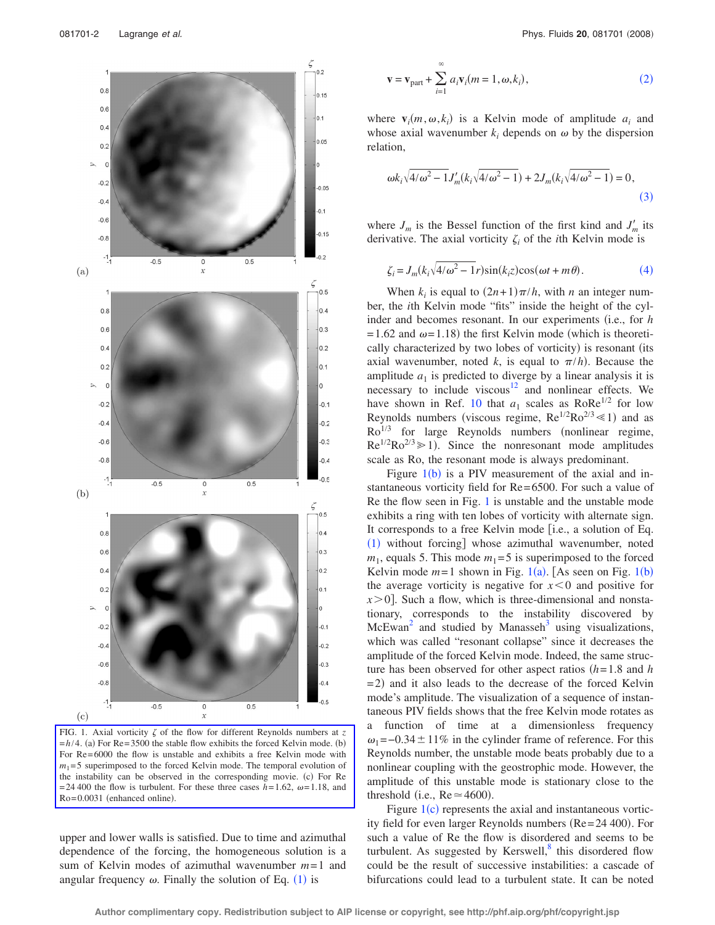<span id="page-1-0"></span>

FIG. 1. Axial vorticity  $\zeta$  of the flow for different Reynolds numbers at  $\zeta$  $=h/4$ . (a) For Re= 3500 the stable flow exhibits the forced Kelvin mode. (b) For Re= 6000 the flow is unstable and exhibits a free Kelvin mode with  $m_1$ =5 superimposed to the forced Kelvin mode. The temporal evolution of the instability can be observed in the corresponding movie. (c) For Re = 24 400 the flow is turbulent. For these three cases  $h=1.62$ ,  $\omega=1.18$ , and  $Ro = 0.0031$  (enhanced online).

upper and lower walls is satisfied. Due to time and azimuthal dependence of the forcing, the homogeneous solution is a sum of Kelvin modes of azimuthal wavenumber *m*= 1 and angular frequency  $\omega$ . Finally the solution of Eq. ([1](#page-0-0)) is

<span id="page-1-1"></span>
$$
\mathbf{v} = \mathbf{v}_{\text{part}} + \sum_{i=1}^{\infty} a_i \mathbf{v}_i (m = 1, \omega, k_i),
$$
 (2)

where  $\mathbf{v}_i(m, \omega, k_i)$  is a Kelvin mode of amplitude  $a_i$  and whose axial wavenumber  $k_i$  depends on  $\omega$  by the dispersion relation,

<span id="page-1-2"></span>
$$
\omega k_i \sqrt{4/\omega^2 - 1} J'_m(k_i \sqrt{4/\omega^2 - 1}) + 2J_m(k_i \sqrt{4/\omega^2 - 1}) = 0,
$$
\n(3)

where  $J_m$  is the Bessel function of the first kind and  $J'_m$  its derivative. The axial vorticity  $\zeta_i$  of the *i*th Kelvin mode is

$$
\zeta_i = J_m(k_i\sqrt{4/\omega^2 - 1}r)\sin(k_i z)\cos(\omega t + m\theta). \tag{4}
$$

<span id="page-1-3"></span>When  $k_i$  is equal to  $(2n+1)\pi/h$ , with *n* an integer number, the *i*th Kelvin mode "fits" inside the height of the cylinder and becomes resonant. In our experiments (i.e., for *h*  $= 1.62$  and  $\omega = 1.18$ ) the first Kelvin mode (which is theoretically characterized by two lobes of vorticity) is resonant (its axial wavenumber, noted *k*, is equal to  $\pi/h$ . Because the amplitude  $a_1$  is predicted to diverge by a linear analysis it is necessary to include viscous<sup>12</sup> and nonlinear effects. We have shown in Ref. [10](#page-3-8) that  $a_1$  scales as RoRe<sup>1/2</sup> for low Reynolds numbers (viscous regime,  $Re^{1/2}Ro^{2/3} \ll 1$ ) and as  $Ro^{1/3}$  for large Reynolds numbers (nonlinear regime,  $\text{Re}^{1/2} \text{Ro}^{2/3} \ge 1$ ). Since the nonresonant mode amplitudes scale as Ro, the resonant mode is always predominant.

Figure  $1(b)$  $1(b)$  is a PIV measurement of the axial and instantaneous vorticity field for Re= 6500. For such a value of Re the flow seen in Fig. [1](#page-1-0) is unstable and the unstable mode exhibits a ring with ten lobes of vorticity with alternate sign. It corresponds to a free Kelvin mode  $[i.e., a$  solution of Eq.  $(1)$  $(1)$  $(1)$  without forcing] whose azimuthal wavenumber, noted  $m_1$ , equals 5. This mode  $m_1 = 5$  is superimposed to the forced Kelvin mode  $m=1$  $m=1$  shown in Fig. 1(a). [As seen on Fig. 1(b) the average vorticity is negative for  $x < 0$  and positive for  $x > 0$ . Such a flow, which is three-dimensional and nonstationary, corresponds to the instability discovered by  $McEwan<sup>2</sup>$  and studied by Manasseh<sup>[3](#page-3-2)</sup> using visualizations, which was called "resonant collapse" since it decreases the amplitude of the forced Kelvin mode. Indeed, the same structure has been observed for other aspect ratios  $(h=1.8$  and *h*  $= 2$ ) and it also leads to the decrease of the forced Kelvin mode's amplitude. The visualization of a sequence of instantaneous PIV fields shows that the free Kelvin mode rotates as a function of time at a dimensionless frequency  $\omega_1$ =−0.34 ± 11% in the cylinder frame of reference. For this Reynolds number, the unstable mode beats probably due to a nonlinear coupling with the geostrophic mode. However, the amplitude of this unstable mode is stationary close to the threshold (i.e.,  $Re \approx 4600$ ).

Figure  $1(c)$  $1(c)$  represents the axial and instantaneous vorticity field for even larger Reynolds numbers  $(Re= 24 400)$ . For such a value of Re the flow is disordered and seems to be turbulent. As suggested by Kerswell, $\delta$  this disordered flow could be the result of successive instabilities: a cascade of bifurcations could lead to a turbulent state. It can be noted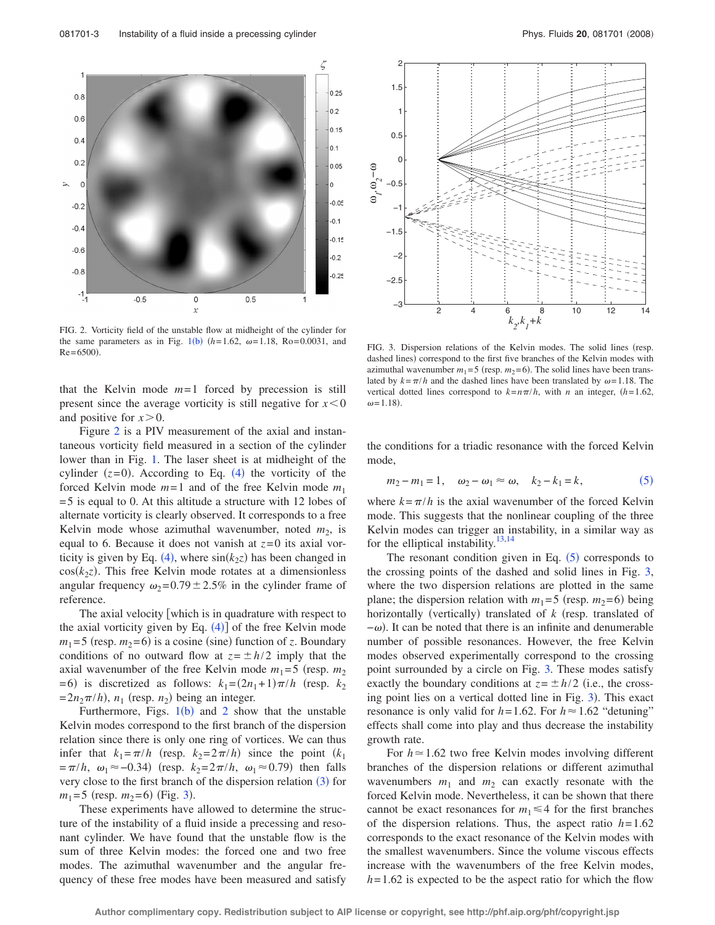<span id="page-2-0"></span>

FIG. 2. Vorticity field of the unstable flow at midheight of the cylinder for the same parameters as in Fig. [1](#page-1-0)(b)  $(h=1.62, \omega=1.18, Ro= 0.0031, and$  $Re = 6500$ .

that the Kelvin mode  $m=1$  forced by precession is still present since the average vorticity is still negative for  $x < 0$ and positive for  $x > 0$ .

Figure [2](#page-2-0) is a PIV measurement of the axial and instantaneous vorticity field measured in a section of the cylinder lower than in Fig. [1.](#page-1-0) The laser sheet is at midheight of the cylinder  $(z=0)$ . According to Eq.  $(4)$  $(4)$  $(4)$  the vorticity of the forced Kelvin mode  $m=1$  and of the free Kelvin mode  $m_1$ = 5 is equal to 0. At this altitude a structure with 12 lobes of alternate vorticity is clearly observed. It corresponds to a free Kelvin mode whose azimuthal wavenumber, noted  $m<sub>2</sub>$ , is equal to 6. Because it does not vanish at  $z=0$  its axial vor-ticity is given by Eq. ([4](#page-1-3)), where  $sin(k_2z)$  has been changed in  $cos(k_2z)$ . This free Kelvin mode rotates at a dimensionless angular frequency  $\omega_2 = 0.79 \pm 2.5\%$  in the cylinder frame of reference.

The axial velocity which is in quadrature with respect to the axial vorticity given by Eq.  $(4)$  $(4)$  $(4)$  of the free Kelvin mode  $m_1 = 5$  (resp.  $m_2 = 6$ ) is a cosine (sine) function of *z*. Boundary conditions of no outward flow at  $z = \pm h/2$  imply that the axial wavenumber of the free Kelvin mode  $m_1 = 5$  (resp.  $m_2$ )  $= 6$ ) is discretized as follows:  $k_1 = (2n_1 + 1)\pi/h$  (resp.  $k_2$ )  $= 2n_2\pi/h$ ,  $n_1$  (resp.  $n_2$ ) being an integer.

Furthermore, Figs.  $1(b)$  $1(b)$  and [2](#page-2-0) show that the unstable Kelvin modes correspond to the first branch of the dispersion relation since there is only one ring of vortices. We can thus infer that  $k_1 = \pi/h$  (resp.  $k_2 = 2\pi/h$ ) since the point  $(k_1)$  $=\pi/h$ ,  $\omega_1 \approx -0.34$ ) (resp.  $k_2 = 2\pi/h$ ,  $\omega_1 \approx 0.79$ ) then falls very close to the first branch of the dispersion relation  $(3)$  $(3)$  $(3)$  for  $m_1 = 5$  (resp.  $m_2 = 6$ ) (Fig. [3](#page-2-1)).

These experiments have allowed to determine the structure of the instability of a fluid inside a precessing and resonant cylinder. We have found that the unstable flow is the sum of three Kelvin modes: the forced one and two free modes. The azimuthal wavenumber and the angular frequency of these free modes have been measured and satisfy

<span id="page-2-1"></span>

FIG. 3. Dispersion relations of the Kelvin modes. The solid lines (resp. dashed lines) correspond to the first five branches of the Kelvin modes with azimuthal wavenumber  $m_1 = 5$  (resp.  $m_2 = 6$ ). The solid lines have been translated by  $k = \pi/h$  and the dashed lines have been translated by  $\omega = 1.18$ . The vertical dotted lines correspond to  $k=n\pi/h$ , with *n* an integer,  $(h=1.62)$ ,  $\omega = 1.18$ .

the conditions for a triadic resonance with the forced Kelvin mode,

<span id="page-2-2"></span>
$$
m_2 - m_1 = 1
$$
,  $\omega_2 - \omega_1 \approx \omega$ ,  $k_2 - k_1 = k$ , (5)

where  $k = \pi/h$  is the axial wavenumber of the forced Kelvin mode. This suggests that the nonlinear coupling of the three Kelvin modes can trigger an instability, in a similar way as for the elliptical instability. $13,14$  $13,14$ 

The resonant condition given in Eq.  $(5)$  $(5)$  $(5)$  corresponds to the crossing points of the dashed and solid lines in Fig. [3,](#page-2-1) where the two dispersion relations are plotted in the same plane; the dispersion relation with  $m_1 = 5$  (resp.  $m_2 = 6$ ) being horizontally (vertically) translated of *k* (resp. translated of  $-\omega$ ). It can be noted that there is an infinite and denumerable number of possible resonances. However, the free Kelvin modes observed experimentally correspond to the crossing point surrounded by a circle on Fig. [3.](#page-2-1) These modes satisfy exactly the boundary conditions at  $z = \pm h/2$  (i.e., the cross-ing point lies on a vertical dotted line in Fig. [3](#page-2-1)). This exact resonance is only valid for  $h=1.62$ . For  $h \approx 1.62$  "detuning" effects shall come into play and thus decrease the instability growth rate.

For  $h \approx 1.62$  two free Kelvin modes involving different branches of the dispersion relations or different azimuthal wavenumbers  $m_1$  and  $m_2$  can exactly resonate with the forced Kelvin mode. Nevertheless, it can be shown that there cannot be exact resonances for  $m_1 \leq 4$  for the first branches of the dispersion relations. Thus, the aspect ratio  $h=1.62$ corresponds to the exact resonance of the Kelvin modes with the smallest wavenumbers. Since the volume viscous effects increase with the wavenumbers of the free Kelvin modes,  $h = 1.62$  is expected to be the aspect ratio for which the flow